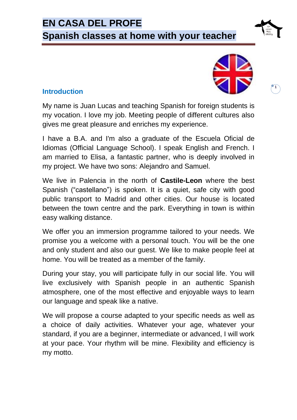# **EN CASA DEL PROFE**

**Spanish classes at home with your teacher**

## **Introduction**



**1**

My name is Juan Lucas and teaching Spanish for foreign students is my vocation. I love my job. Meeting people of different cultures also gives me great pleasure and enriches my experience.

I have a B.A. and I'm also a graduate of the Escuela Oficial de Idiomas (Official Language School). I speak English and French. I am married to Elisa, a fantastic partner, who is deeply involved in my project. We have two sons: Alejandro and Samuel.

We live in Palencia in the north of **Castile-Leon** where the best Spanish ("castellano") is spoken. It is a quiet, safe city with good public transport to Madrid and other cities. Our house is located between the town centre and the park. Everything in town is within easy walking distance.

We offer you an immersion programme tailored to your needs. We promise you a welcome with a personal touch. You will be the one and only student and also our guest. We like to make people feel at home. You will be treated as a member of the family.

During your stay, you will participate fully in our social life. You will live exclusively with Spanish people in an authentic Spanish atmosphere, one of the most effective and enjoyable ways to learn our language and speak like a native.

We will propose a course adapted to your specific needs as well as a choice of daily activities. Whatever your age, whatever your standard, if you are a beginner, intermediate or advanced, I will work at your pace. Your rhythm will be mine. Flexibility and efficiency is my motto.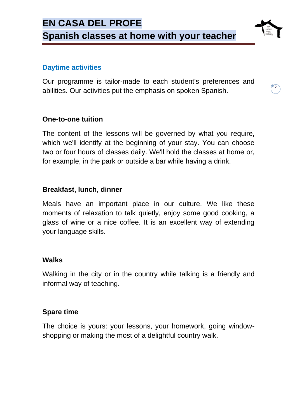### **Daytime activities**

Our programme is tailor-made to each student's preferences and abilities. Our activities put the emphasis on spoken Spanish.

**2**

#### **One-to-one tuition**

The content of the lessons will be governed by what you require, which we'll identify at the beginning of your stay. You can choose two or four hours of classes daily. We'll hold the classes at home or, for example, in the park or outside a bar while having a drink.

#### **Breakfast, lunch, dinner**

Meals have an important place in our culture. We like these moments of relaxation to talk quietly, enjoy some good cooking, a glass of wine or a nice coffee. It is an excellent way of extending your language skills.

#### **Walks**

Walking in the city or in the country while talking is a friendly and informal way of teaching.

#### **Spare time**

The choice is yours: your lessons, your homework, going windowshopping or making the most of a delightful country walk.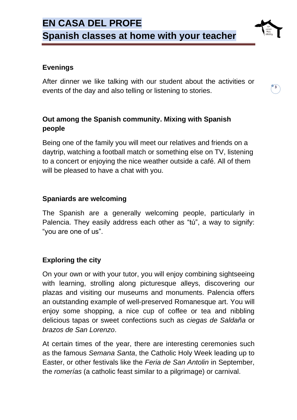

After dinner we like talking with our student about the activities or events of the day and also telling or listening to stories.

**3**

## **Out among the Spanish community. Mixing with Spanish people**

Being one of the family you will meet our relatives and friends on a daytrip, watching a football match or something else on TV, listening to a concert or enjoying the nice weather outside a café. All of them will be pleased to have a chat with you.

## **Spaniards are welcoming**

The Spanish are a generally welcoming people, particularly in Palencia. They easily address each other as "tú", a way to signify: "you are one of us".

## **Exploring the city**

On your own or with your tutor, you will enjoy combining sightseeing with learning, strolling along picturesque alleys, discovering our plazas and visiting our museums and monuments. Palencia offers an outstanding example of well-preserved Romanesque art. You will enjoy some shopping, a nice cup of coffee or tea and nibbling delicious tapas or sweet confections such as *ciegas de Saldaña* or *brazos de San Lorenzo*.

At certain times of the year, there are interesting ceremonies such as the famous *Semana Santa*, the Catholic Holy Week leading up to Easter, or other festivals like the *Feria de San Antolin* in September, the *romerías* (a catholic feast similar to a pilgrimage) or carnival.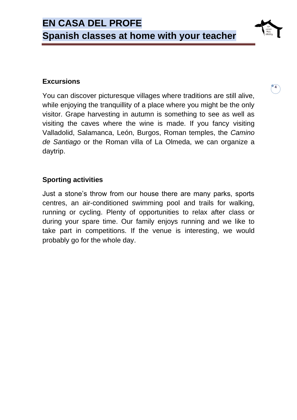### **Excursions**

You can discover picturesque villages where traditions are still alive, while enjoying the tranquillity of a place where you might be the only visitor. Grape harvesting in autumn is something to see as well as visiting the caves where the wine is made. If you fancy visiting Valladolid, Salamanca, León, Burgos, Roman temples, the *Camino de Santiago* or the Roman villa of La Olmeda, we can organize a daytrip.

**4**

## **Sporting activities**

Just a stone's throw from our house there are many parks, sports centres, an air-conditioned swimming pool and trails for walking, running or cycling. Plenty of opportunities to relax after class or during your spare time. Our family enjoys running and we like to take part in competitions. If the venue is interesting, we would probably go for the whole day.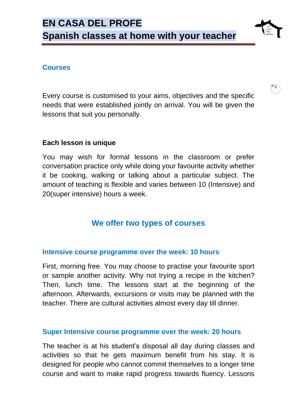

**5**

### **Courses**

Every course is customised to your aims, objectives and the specific needs that were established jointly on arrival. You will be given the lessons that suit you personally.

## **Each lesson is unique**

You may wish for formal lessons in the classroom or prefer conversation practice only while doing your favourite activity whether it be cooking, walking or talking about a particular subject. The amount of teaching is flexible and varies between 10 (Intensive) and 20(super intensive) hours a week.

## **We offer two types of courses**

### **Intensive course programme over the week: 10 hours**

First, morning free. You may choose to practise your favourite sport or sample another activity. Why not trying a recipe in the kitchen? Then, lunch time. The lessons start at the beginning of the afternoon. Afterwards, excursions or visits may be planned with the teacher. There are cultural activities almost every day till dinner.

#### **Super Intensive course programme over the week: 20 hours**

The teacher is at his student's disposal all day during classes and activities so that he gets maximum benefit from his stay. It is designed for people who cannot commit themselves to a longer time course and want to make rapid progress towards fluency. Lessons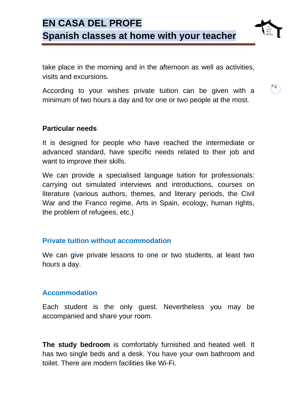

take place in the morning and in the afternoon as well as activities, visits and excursions.

According to your wishes private tuition can be given with a minimum of two hours a day and for one or two people at the most.

**6**

#### **Particular needs**

It is designed for people who have reached the intermediate or advanced standard, have specific needs related to their job and want to improve their skills.

We can provide a specialised language tuition for professionals: carrying out simulated interviews and introductions, courses on literature (various authors, themes, and literary periods, the Civil War and the Franco regime, Arts in Spain, ecology, human rights, the problem of refugees, etc.)

#### **Private tuition without accommodation**

We can give private lessons to one or two students, at least two hours a day.

#### **Accommodation**

Each student is the only guest. Nevertheless you may be accompanied and share your room.

**The study bedroom** is comfortably furnished and heated well. It has two single beds and a desk. You have your own bathroom and toilet. There are modern facilities like Wi-Fi.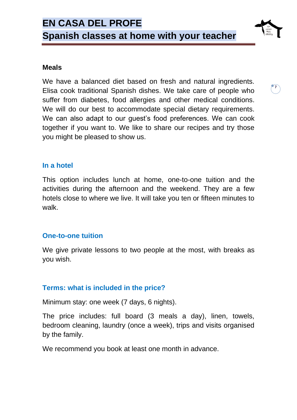

We have a balanced diet based on fresh and natural ingredients. Elisa cook traditional Spanish dishes. We take care of people who suffer from diabetes, food allergies and other medical conditions. We will do our best to accommodate special dietary requirements. We can also adapt to our guest's food preferences. We can cook together if you want to. We like to share our recipes and try those you might be pleased to show us.

**7**

#### **In a hotel**

This option includes lunch at home, one-to-one tuition and the activities during the afternoon and the weekend. They are a few hotels close to where we live. It will take you ten or fifteen minutes to walk.

#### **One-to-one tuition**

We give private lessons to two people at the most, with breaks as you wish.

#### **Terms: what is included in the price?**

Minimum stay: one week (7 days, 6 nights).

The price includes: full board (3 meals a day), linen, towels, bedroom cleaning, laundry (once a week), trips and visits organised by the family.

We recommend you book at least one month in advance.